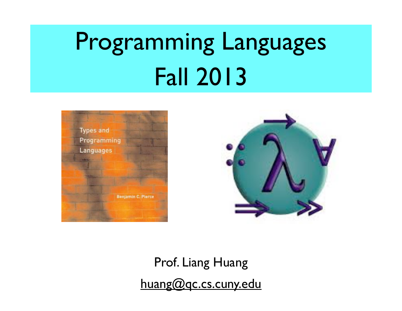# Programming Languages Fall 2013





Prof. Liang Huang huang@qc.cs.cuny.edu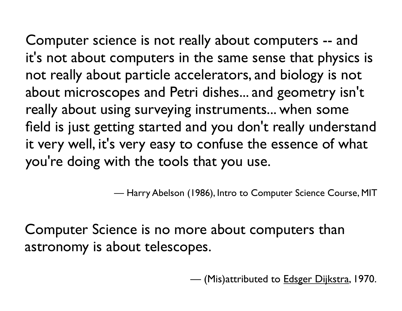Computer science is not really about computers -- and it's not about computers in the same sense that physics is not really about particle accelerators, and biology is not about microscopes and Petri dishes... and geometry isn't really about using surveying instruments... when some field is just getting started and you don't really understand it very well, it's very easy to confuse the essence of what you're doing with the tools that you use.

— Harry Abelson (1986), Intro to Computer Science Course, MIT

Computer Science is no more about computers than astronomy is about telescopes.

— (Mis)attributed to **Edsger Dijkstra**, 1970.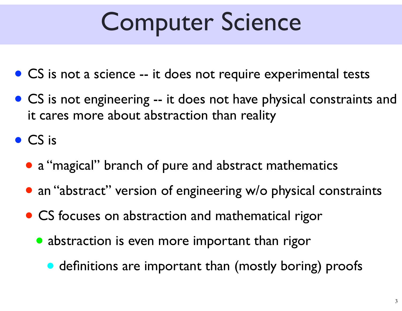## Computer Science

- CS is not a science -- it does not require experimental tests
- CS is not engineering -- it does not have physical constraints and it cares more about abstraction than reality

• CS is

- a "magical" branch of pure and abstract mathematics
- an "abstract" version of engineering w/o physical constraints
- CS focuses on abstraction and mathematical rigor
	- abstraction is even more important than rigor
		- definitions are important than (mostly boring) proofs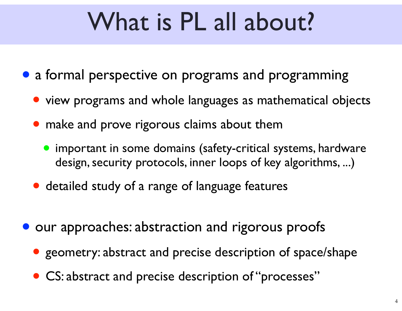## What is PL all about?

- a formal perspective on programs and programming
	- view programs and whole languages as mathematical objects
	- make and prove rigorous claims about them
		- important in some domains (safety-critical systems, hardware design, security protocols, inner loops of key algorithms, ...)
	- detailed study of a range of language features
- **our approaches: abstraction and rigorous proofs** 
	- geometry: abstract and precise description of space/shape
	- CS: abstract and precise description of "processes"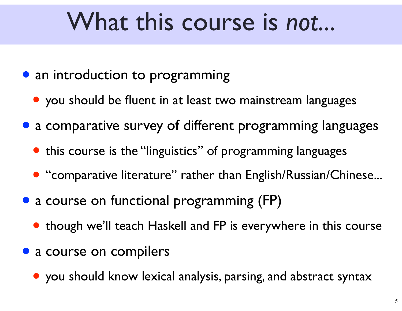#### What this course is *not*...

- an introduction to programming
	- you should be fluent in at least two mainstream languages
- a comparative survey of different programming languages
	- this course is the "linguistics" of programming languages
	- "comparative literature" rather than English/Russian/Chinese...
- a course on functional programming (FP)
	- though we'll teach Haskell and FP is everywhere in this course
- a course on compilers
	- you should know lexical analysis, parsing, and abstract syntax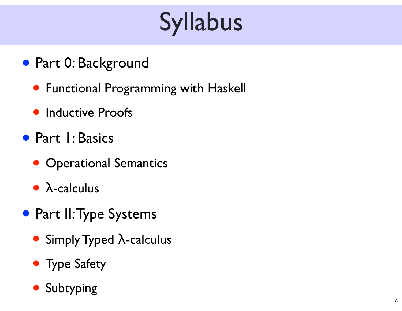# Syllabus

- Part 0: Background
	- Functional Programming with Haskell
	- Inductive Proofs
- Part I: Basics
	- Operational Semantics
	- <sup>λ</sup>-calculus
- Part II: Type Systems
	- Simply Typed  $\lambda$ -calculus
	- Type Safety
	- **Subtyping**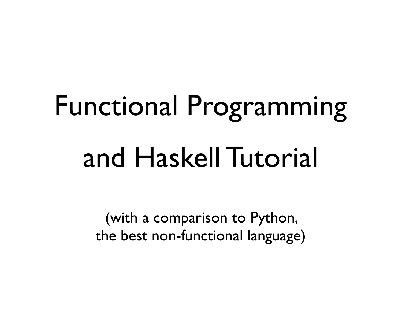# Functional Programming and Haskell Tutorial

(with a comparison to Python, the best non-functional language)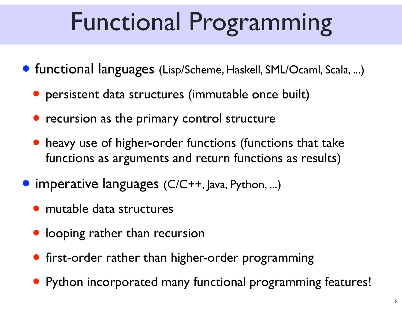## Functional Programming

- functional languages (Lisp/Scheme, Haskell, SML/Ocaml, Scala, ...)
	- persistent data structures (immutable once built)
	- recursion as the primary control structure
	- heavy use of higher-order functions (functions that take functions as arguments and return functions as results)
- imperative languages (C/C++, Java, Python, ...)
	- mutable data structures
	- looping rather than recursion
	- first-order rather than higher-order programming
	- Python incorporated many functional programming features!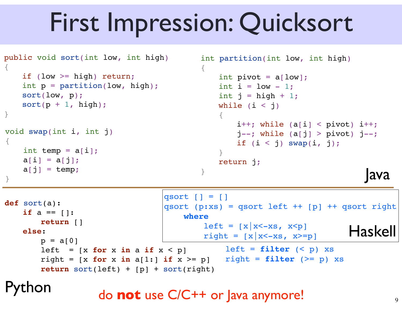## First Impression: Quicksort

```
public void sort(int low, int high)
{
   if (low >= high) return;
   int p = partition(low, high);
   sort(low, p);
   sort(p + 1, high);}
                                         int partition(int low, int high)
                                         {
                                             int pivot = a[low];
                                             int i = low - 1;
                                             int j = high + 1;
                                            while (i < j){
                                                i++; while (a[i] < pivot) i++;
                                                i--: while (a[i] > pivot) j--;if (i < j) swap(i, j);
                                             }
                                            return j;
                                         }
void swap(int i, int j)
{
   int temp = a[i];
   a[i] = a[j];a[j] = temp;a[j] = \text{temp};def sort(a):
   if a == 1:
       ! ! return []
   else:
       p = a[0]left = [x for x in a if x < p]right = [x for x in a[1:] if x >= p]! ! return sort(left) + [p] + sort(right)
                                 qsort | = |qsort (p:xs) = qsort left ++ [p] ++ qsort right
                                      where
                                         left = \frac{x}{x-xs}, x < p]
                                         left = \begin{bmatrix} |x| & x & x & p \\ right & 1 & x & x \end{bmatrix}left = filter (< p) xsright = filter (> = p) xs
```
hon

do **not** use C/C++ or Java anymore!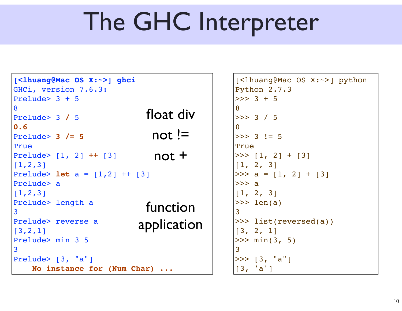## The GHC Interpreter

```
[<lhuang@Mac OS X:~>] ghci
GHCi, version 7.6.3: 
Prelude> 3 + 5
8
Prelude> 3 / 5
0.6
Prelude> 3 /= 5
True
Prelude> [1, 2] ++ [3]
[1,2,3]
Prelude> let a = [1,2] ++ [3]
Prelude> a
[1, 2, 3]Prelude> length a
3
Prelude> reverse a
[3,2,1]
Prelude> min 3 5
3
Prelude> [3, "a"]
     No instance for (Num Char) ...
                             not :=not +
                            float div
                            function
                          application
```

```
[<lhuang@Mac OS X:~>] python
Python 2.7.3
>> 3 + 5
8
>>> 3 / 5
\Omega>> 3 != 5
True
>> [1, 2] + [3][1, 2, 3]>> a = [1, 2] + [3]>> a
[1, 2, 3]\gg len(a)
3
>>> list(reversed(a))
[3, 2, 1]
>> \min(3, 5)3
\gg [3, "a"]
[3, 'a']
```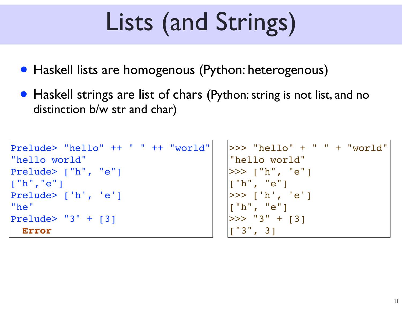## Lists (and Strings)

- Haskell lists are homogenous (Python: heterogenous)
- Haskell strings are list of chars (Python: string is not list, and no distinction b/w str and char)

```
Prelude> "hello" ++ " " ++ "world"
"hello world"
Prelude> ["h", "e"]
["h","e"]
Prelude> ['h', 'e']
"he"
Prelude> "3" + [3]
   Error
```

| $  >> "hello" + " " + "world"$                   |  |
|--------------------------------------------------|--|
| "hello world"                                    |  |
| >>> ["h", "e"]                                   |  |
|                                                  |  |
| >>> ['h', 'e']                                   |  |
| ["h", "e"]                                       |  |
| $  >>$ "3" + [3]                                 |  |
| $\begin{bmatrix} 1' & 3' \\ 6 & 3 \end{bmatrix}$ |  |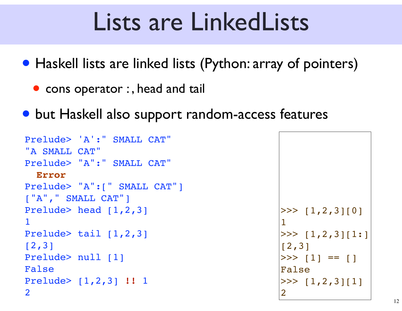#### Lists are LinkedLists

• Haskell lists are linked lists (Python: array of pointers)

- cons operator :, head and tail
- but Haskell also support random-access features

```
Prelude> 'A':" SMALL CAT"
"A SMALL CAT"
Prelude> "A":" SMALL CAT"
   Error
Prelude> "A":[" SMALL CAT"]
["A"," SMALL CAT"]
Prelude> head [1,2,3]
1
Prelude> tail [1,2,3]
[2,3]
Prelude> null [1]
False
Prelude> [1,2,3] !! 1
2
```
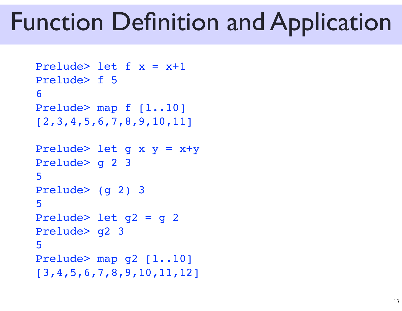#### Function Definition and Application

```
Prelude> let f(x) = x+1Prelude> f 5
6
Prelude> map f [1..10]
[2,3,4,5,6,7,8,9,10,11]
Prelude> let g x y = x+yPrelude> g 2 3
5
Prelude> (g 2) 3
5
Prelude> let g2 = g 2
Prelude> g2 3
5
Prelude> map g2 [1..10]
[3,4,5,6,7,8,9,10,11,12]
```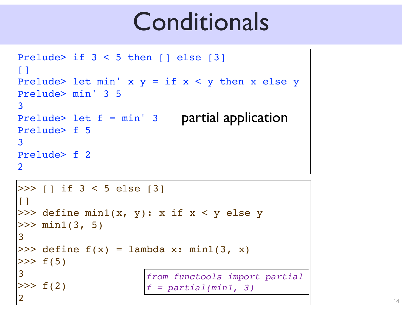#### Conditionals

```
Prelude> if 3 < 5 then [] else [3]
\lceilPrelude> let min' x y = if x < y then x else yPrelude> min' 3 5
3
Prelude> let f = min' 3
partial application
Prelude> f 5
3
Prelude> f 2
2
```

```
>>> [] if 3 < 5 else [3]
\blacksquare>>> define min1(x, y): x if x < y else y
>> min1(3, 5)
3
\gg define f(x) = lambda x: min1(3, x)
>> f(5)
3
>> f(2)
2
                       from functools import partial
                       f = partial(min1, 3)
```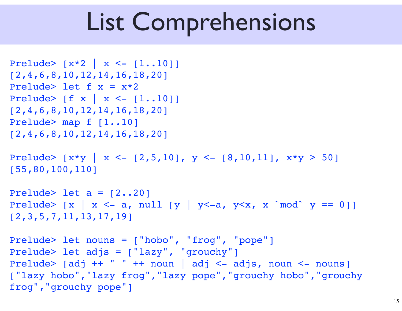## List Comprehensions

```
Prelude> [x*2 | x <- [1..10]]
[2,4,6,8,10,12,14,16,18,20]
Prelude> let f(x) = x*2Prelude> [f x | x <- [1..10]]
[2,4,6,8,10,12,14,16,18,20]
Prelude> map f [1..10]
[2,4,6,8,10,12,14,16,18,20]
Prelude> [x*y \ x \leftarrow [2,5,10], y \leftarrow [8,10,11], x*y > 50][55,80,100,110]
Prelude> let a = [2..20]Prelude> [x \mid x \leq -a, \text{ null } [y \mid y \leq -a, y \leq x, x \mod y == 0]][2,3,5,7,11,13,17,19]
Prelude> let nouns = ["hobo", "frog", "pope"]
Prelude> let adjs = ["lazy", "grouchy"]
Prelude> [adj ++ " " ++ noun | adj <- adjs, noun <- nouns]
["lazy hobo","lazy frog","lazy pope","grouchy hobo","grouchy 
frog","grouchy pope"]
```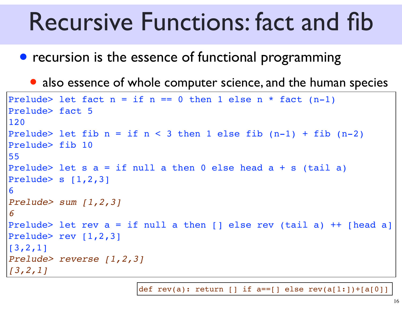#### Recursive Functions: fact and fib

- recursion is the essence of functional programming
	- also essence of whole computer science, and the human species

```
Prelude> let fact n = if n == 0 then 1 else n * fact (n-1)Prelude> fact 5
120
Prelude> let fib n = if n < 3 then 1 else fib (n-1) + fib (n-2)Prelude> fib 10
55
Prelude> let s a = if null a then 0 else head a + s (tail a)Prelude> s [1,2,3]6
Prelude> sum [1,2,3]
6
Prelude> let rev a = if null a then [] else rev (tail a) ++ [head a]
Prelude> rev [1,2,3]
[3,2,1]
Prelude> reverse [1,2,3]
[3,2,1]
```
def rev(a): return [] if  $a == [$ ] else rev(a[1:])+[a[0]]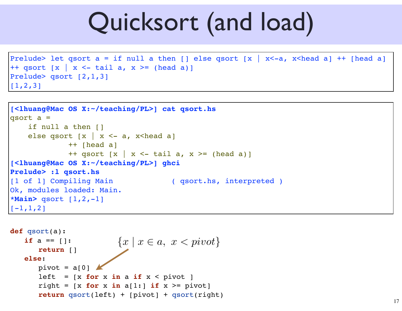#### Quicksort (and load)

```
Prelude> let qsort a = if null a then \lceil \cdot \rceil else qsort \lceil x \rceil x<-a, x<head a] ++ [head a]
++ qsort \lceil x \rceil x <- tail a, x >= (head a)]
Prelude> qsort [2,1,3]
[1,2,3]
```

```
[<lhuang@Mac OS X:~/teaching/PL>] cat qsort.hs
qsort a =
     if null a then []
    else qsort [x \mid x \leq -a, x \leq head a]
              ++ [head a]
             ++ qsort \lceil x \rceil x <- tail a, x >= (head a)]
[<lhuang@Mac OS X:~/teaching/PL>] ghci
Prelude> :l qsort.hs
[1 of 1] Compiling Main ( qsort.hs, interpreted )
Ok, modules loaded: Main.
*Main> qsort [1,2,-1]
[-1,1,2]
```

```
def qsort(a):
   if a == 1:
      ! ! return []
   else:
      pivot = a[0]left = [x for x in a if x < piright = [x for x in a[1:] if x >= pivot]! ! return qsort(left) + [pivot] + qsort(right)
                         {x \mid x \in a, x < pivot}
```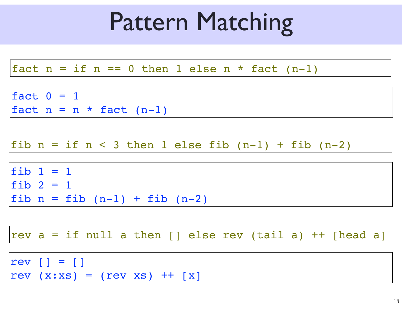## Pattern Matching

```
fact 0 = 1fact n = n * fact (n-1)fact n = if n == 0 then 1 else n * fact (n-1)fib 1 = 1fib 2 = 1fib n = fib (n-1) + fib (n-2)fib n = if n < 3 then 1 else fib (n-1) + fib (n-2)rev | = |rev (x:xs) = (rev xs) + [x]rev a = if null a then [] else rev (tail a) ++ [head a]
```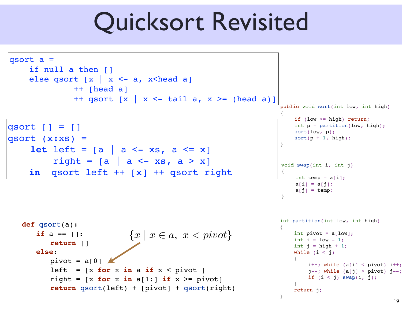#### Quicksort Revisited